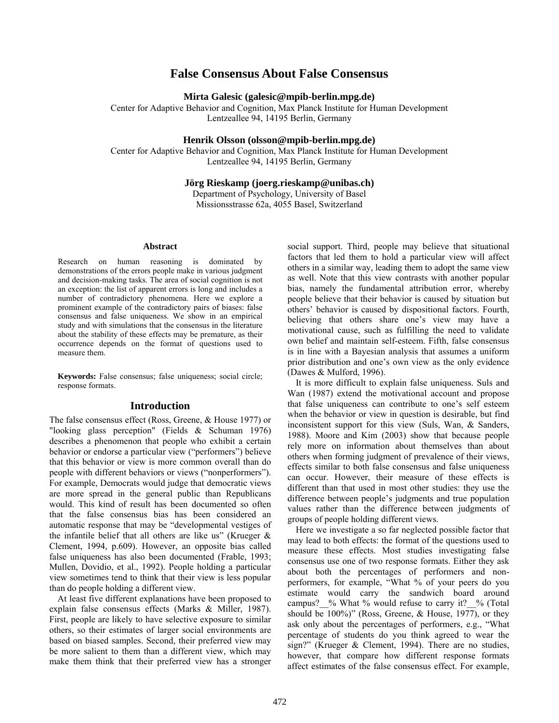# **False Consensus About False Consensus**

**Mirta Galesic (galesic@mpib-berlin.mpg.de)** 

Center for Adaptive Behavior and Cognition, Max Planck Institute for Human Development Lentzeallee 94, 14195 Berlin, Germany

## **Henrik Olsson (olsson@mpib-berlin.mpg.de)**

Center for Adaptive Behavior and Cognition, Max Planck Institute for Human Development Lentzeallee 94, 14195 Berlin, Germany

### **Jörg Rieskamp (joerg.rieskamp@unibas.ch)**

Department of Psychology, University of Basel Missionsstrasse 62a, 4055 Basel, Switzerland

#### **Abstract**

Research on human reasoning is dominated by demonstrations of the errors people make in various judgment and decision-making tasks. The area of social cognition is not an exception: the list of apparent errors is long and includes a number of contradictory phenomena. Here we explore a prominent example of the contradictory pairs of biases: false consensus and false uniqueness. We show in an empirical study and with simulations that the consensus in the literature about the stability of these effects may be premature, as their occurrence depends on the format of questions used to measure them.

**Keywords:** False consensus; false uniqueness; social circle; response formats.

# **Introduction**

The false consensus effect (Ross, Greene, & House 1977) or "looking glass perception" (Fields & Schuman 1976) describes a phenomenon that people who exhibit a certain behavior or endorse a particular view ("performers") believe that this behavior or view is more common overall than do people with different behaviors or views ("nonperformers"). For example, Democrats would judge that democratic views are more spread in the general public than Republicans would. This kind of result has been documented so often that the false consensus bias has been considered an automatic response that may be "developmental vestiges of the infantile belief that all others are like us" (Krueger  $\&$ Clement, 1994, p.609). However, an opposite bias called false uniqueness has also been documented (Frable, 1993; Mullen, Dovidio, et al., 1992). People holding a particular view sometimes tend to think that their view is less popular than do people holding a different view.

At least five different explanations have been proposed to explain false consensus effects (Marks & Miller, 1987). First, people are likely to have selective exposure to similar others, so their estimates of larger social environments are based on biased samples. Second, their preferred view may be more salient to them than a different view, which may make them think that their preferred view has a stronger social support. Third, people may believe that situational factors that led them to hold a particular view will affect others in a similar way, leading them to adopt the same view as well. Note that this view contrasts with another popular bias, namely the fundamental attribution error, whereby people believe that their behavior is caused by situation but others' behavior is caused by dispositional factors. Fourth, believing that others share one's view may have a motivational cause, such as fulfilling the need to validate own belief and maintain self-esteem. Fifth, false consensus is in line with a Bayesian analysis that assumes a uniform prior distribution and one's own view as the only evidence (Dawes & Mulford, 1996).

It is more difficult to explain false uniqueness. Suls and Wan (1987) extend the motivational account and propose that false uniqueness can contribute to one's self esteem when the behavior or view in question is desirable, but find inconsistent support for this view (Suls, Wan, & Sanders, 1988). Moore and Kim (2003) show that because people rely more on information about themselves than about others when forming judgment of prevalence of their views, effects similar to both false consensus and false uniqueness can occur. However, their measure of these effects is different than that used in most other studies: they use the difference between people's judgments and true population values rather than the difference between judgments of groups of people holding different views.

Here we investigate a so far neglected possible factor that may lead to both effects: the format of the questions used to measure these effects. Most studies investigating false consensus use one of two response formats. Either they ask about both the percentages of performers and nonperformers, for example, "What % of your peers do you estimate would carry the sandwich board around campus?  $%$  What % would refuse to carry it?  $%$  (Total should be 100%)" (Ross, Greene, & House, 1977), or they ask only about the percentages of performers, e.g., "What percentage of students do you think agreed to wear the sign?" (Krueger & Clement, 1994). There are no studies, however, that compare how different response formats affect estimates of the false consensus effect. For example,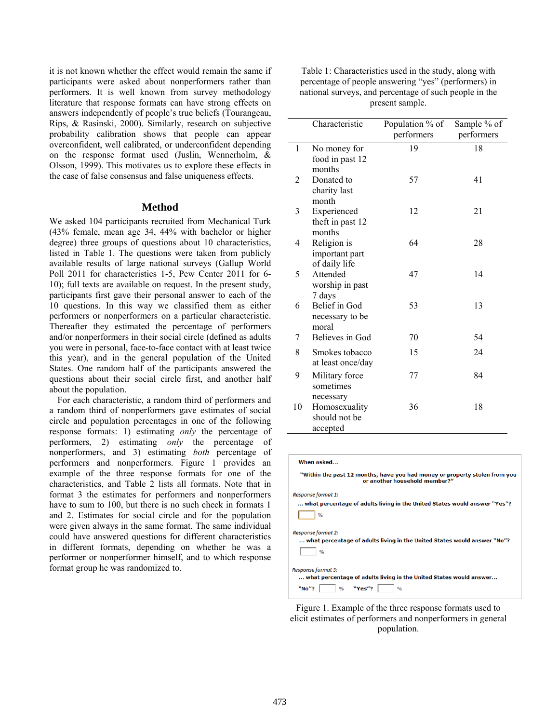it is not known whether the effect would remain the same if participants were asked about nonperformers rather than performers. It is well known from survey methodology literature that response formats can have strong effects on answers independently of people's true beliefs (Tourangeau, Rips, & Rasinski, 2000). Similarly, research on subjective probability calibration shows that people can appear overconfident, well calibrated, or underconfident depending on the response format used (Juslin, Wennerholm, & Olsson, 1999). This motivates us to explore these effects in the case of false consensus and false uniqueness effects.

#### **Method**

We asked 104 participants recruited from Mechanical Turk (43% female, mean age 34, 44% with bachelor or higher degree) three groups of questions about 10 characteristics, listed in Table 1. The questions were taken from publicly available results of large national surveys (Gallup World Poll 2011 for characteristics 1-5, Pew Center 2011 for 6- 10); full texts are available on request. In the present study, participants first gave their personal answer to each of the 10 questions. In this way we classified them as either performers or nonperformers on a particular characteristic. Thereafter they estimated the percentage of performers and/or nonperformers in their social circle (defined as adults you were in personal, face-to-face contact with at least twice this year), and in the general population of the United States. One random half of the participants answered the questions about their social circle first, and another half about the population.

For each characteristic, a random third of performers and a random third of nonperformers gave estimates of social circle and population percentages in one of the following response formats: 1) estimating *only* the percentage of performers, 2) estimating *only* the percentage of nonperformers, and 3) estimating *both* percentage of performers and nonperformers. Figure 1 provides an example of the three response formats for one of the characteristics, and Table 2 lists all formats. Note that in format 3 the estimates for performers and nonperformers have to sum to 100, but there is no such check in formats 1 and 2. Estimates for social circle and for the population were given always in the same format. The same individual could have answered questions for different characteristics in different formats, depending on whether he was a performer or nonperformer himself, and to which response format group he was randomized to.

| Table 1: Characteristics used in the study, along with |
|--------------------------------------------------------|
| percentage of people answering "yes" (performers) in   |
| national surveys, and percentage of such people in the |
| present sample.                                        |

|    | Characteristic                                 | Population % of<br>performers | Sample % of<br>performers |
|----|------------------------------------------------|-------------------------------|---------------------------|
| 1  | No money for<br>food in past 12<br>months      | 19                            | 18                        |
| 2  | Donated to<br>charity last<br>month            | 57                            | 41                        |
| 3  | Experienced<br>theft in past 12<br>months      | 12                            | 21                        |
| 4  | Religion is<br>important part<br>of daily life | 64                            | 28                        |
| 5  | Attended<br>worship in past<br>7 days          | 47                            | 14                        |
| 6  | Belief in God<br>necessary to be<br>moral      | 53                            | 13                        |
| 7  | Believes in God                                | 70                            | 54                        |
| 8  | Smokes tobacco<br>at least once/day            | 15                            | 24                        |
| 9  | Military force<br>sometimes<br>necessary       | 77                            | 84                        |
| 10 | Homosexuality<br>should not be<br>accepted     | 36                            | 18                        |

| When asked                                                                                                  |
|-------------------------------------------------------------------------------------------------------------|
| "Within the past 12 months, have you had money or property stolen from you<br>or another household member?" |
| Response format 1:                                                                                          |
| what percentage of adults living in the United States would answer "Yes"?                                   |
| $\frac{1}{2}$                                                                                               |
| <b>Response format 2:</b>                                                                                   |
| what percentage of adults living in the United States would answer "No"?                                    |
| $\frac{1}{2}$                                                                                               |
| Response format 3:                                                                                          |
| what percentage of adults living in the United States would answer                                          |
| "No"? % "Yes"?<br>$\frac{0}{0}$                                                                             |
|                                                                                                             |

Figure 1. Example of the three response formats used to elicit estimates of performers and nonperformers in general population.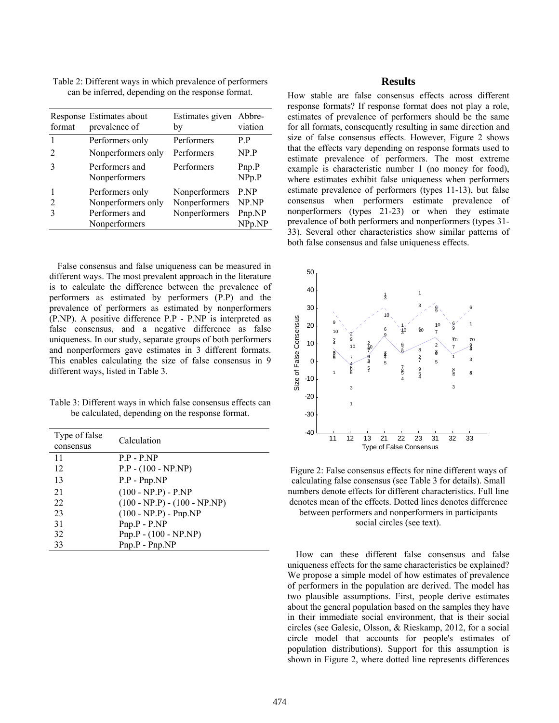| format                      | Response Estimates about<br>prevalence of                                | Estimates given Abbre-<br>by                    | viation                           |
|-----------------------------|--------------------------------------------------------------------------|-------------------------------------------------|-----------------------------------|
|                             | Performers only                                                          | Performers                                      | P P                               |
| $\mathcal{D}_{\mathcal{L}}$ | Nonperformers only                                                       | Performers                                      | NP.P                              |
| 3                           | Performers and<br>Nonperformers                                          | Performers                                      | Pnp.P<br>NPP, P                   |
| $\overline{2}$              | Performers only<br>Nonperformers only<br>Performers and<br>Nonperformers | Nonperformers<br>Nonperformers<br>Nonperformers | P.NP<br>NP.NP<br>Pnp.NP<br>NPp.NP |

Table 2: Different ways in which prevalence of performers can be inferred, depending on the response format.

False consensus and false uniqueness can be measured in different ways. The most prevalent approach in the literature is to calculate the difference between the prevalence of performers as estimated by performers (P.P) and the prevalence of performers as estimated by nonperformers (P.NP). A positive difference P.P - P.NP is interpreted as false consensus, and a negative difference as false uniqueness. In our study, separate groups of both performers and nonperformers gave estimates in 3 different formats. This enables calculating the size of false consensus in 9 different ways, listed in Table 3.

Table 3: Different ways in which false consensus effects can be calculated, depending on the response format.

| Type of false<br>consensus | Calculation                    |
|----------------------------|--------------------------------|
| 11                         | $P.P - P NP$                   |
| 12                         | $P.P - (100 - NP.NP)$          |
| 13                         | $P.P - Pnp.NP$                 |
| 21                         | $(100 - NP.P) - P.NP$          |
| 22                         | $(100 - NP.P) - (100 - NP.NP)$ |
| 23                         | $(100 - NP.P) - Pnp.NP$        |
| 31                         | $Pnp.P - P.NP$                 |
| 32                         | $Pnp.P - (100 - NP.NP)$        |
| 33                         | $Pnp.P - Pnp.NP$               |

## **Results**

How stable are false consensus effects across different response formats? If response format does not play a role, estimates of prevalence of performers should be the same for all formats, consequently resulting in same direction and size of false consensus effects. However, Figure 2 shows that the effects vary depending on response formats used to estimate prevalence of performers. The most extreme example is characteristic number 1 (no money for food), where estimates exhibit false uniqueness when performers estimate prevalence of performers (types 11-13), but false consensus when performers estimate prevalence of nonperformers (types 21-23) or when they estimate prevalence of both performers and nonperformers (types 31- 33). Several other characteristics show similar patterns of both false consensus and false uniqueness effects.



Figure 2: False consensus effects for nine different ways of calculating false consensus (see Table 3 for details). Small numbers denote effects for different characteristics. Full line denotes mean of the effects. Dotted lines denotes difference between performers and nonperformers in participants social circles (see text).

How can these different false consensus and false uniqueness effects for the same characteristics be explained? We propose a simple model of how estimates of prevalence of performers in the population are derived. The model has two plausible assumptions. First, people derive estimates about the general population based on the samples they have in their immediate social environment, that is their social circles (see Galesic, Olsson, & Rieskamp, 2012, for a social circle model that accounts for people's estimates of population distributions). Support for this assumption is shown in Figure 2, where dotted line represents differences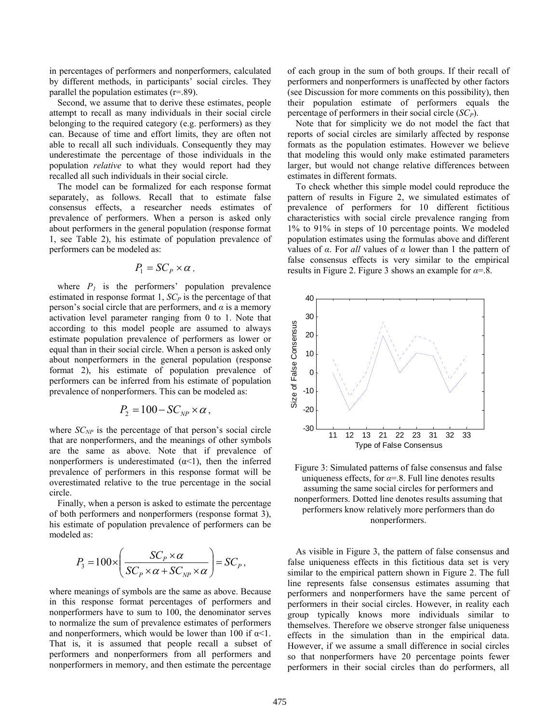in percentages of performers and nonperformers, calculated by different methods, in participants' social circles. They parallel the population estimates  $(r=89)$ .

Second, we assume that to derive these estimates, people attempt to recall as many individuals in their social circle belonging to the required category (e.g. performers) as they can. Because of time and effort limits, they are often not able to recall all such individuals. Consequently they may underestimate the percentage of those individuals in the population *relative* to what they would report had they recalled all such individuals in their social circle.

The model can be formalized for each response format separately, as follows. Recall that to estimate false consensus effects, a researcher needs estimates of prevalence of performers. When a person is asked only about performers in the general population (response format 1, see Table 2), his estimate of population prevalence of performers can be modeled as:

$$
P_1 = SC_P \times \alpha \, ,
$$

where  $P_1$  is the performers' population prevalence estimated in response format  $1, SC<sub>P</sub>$  is the percentage of that person's social circle that are performers, and  $\alpha$  is a memory activation level parameter ranging from 0 to 1. Note that according to this model people are assumed to always estimate population prevalence of performers as lower or equal than in their social circle. When a person is asked only about nonperformers in the general population (response format 2), his estimate of population prevalence of performers can be inferred from his estimate of population prevalence of nonperformers. This can be modeled as:

$$
P_2 = 100 - SC_{NP} \times \alpha,
$$

where  $SC_{NP}$  is the percentage of that person's social circle that are nonperformers, and the meanings of other symbols are the same as above. Note that if prevalence of nonperformers is underestimated  $(\alpha < 1)$ , then the inferred prevalence of performers in this response format will be overestimated relative to the true percentage in the social circle.

Finally, when a person is asked to estimate the percentage of both performers and nonperformers (response format 3), his estimate of population prevalence of performers can be modeled as:

$$
P_{3} = 100 \times \left(\frac{SC_{P} \times \alpha}{SC_{P} \times \alpha + SC_{NP} \times \alpha}\right) = SC_{P},
$$

where meanings of symbols are the same as above. Because in this response format percentages of performers and nonperformers have to sum to 100, the denominator serves to normalize the sum of prevalence estimates of performers and nonperformers, which would be lower than 100 if  $\alpha$ <1. That is, it is assumed that people recall a subset of performers and nonperformers from all performers and nonperformers in memory, and then estimate the percentage

of each group in the sum of both groups. If their recall of performers and nonperformers is unaffected by other factors (see Discussion for more comments on this possibility), then their population estimate of performers equals the percentage of performers in their social circle (*SCP*).

Note that for simplicity we do not model the fact that reports of social circles are similarly affected by response formats as the population estimates. However we believe that modeling this would only make estimated parameters larger, but would not change relative differences between estimates in different formats.

To check whether this simple model could reproduce the pattern of results in Figure 2, we simulated estimates of prevalence of performers for 10 different fictitious characteristics with social circle prevalence ranging from 1% to 91% in steps of 10 percentage points. We modeled population estimates using the formulas above and different values of *α*. For *all* values of *α* lower than 1 the pattern of false consensus effects is very similar to the empirical results in Figure 2. Figure 3 shows an example for *α*=.8.



Figure 3: Simulated patterns of false consensus and false uniqueness effects, for  $\alpha = 8$ . Full line denotes results assuming the same social circles for performers and nonperformers. Dotted line denotes results assuming that performers know relatively more performers than do nonperformers.

As visible in Figure 3, the pattern of false consensus and false uniqueness effects in this fictitious data set is very similar to the empirical pattern shown in Figure 2. The full line represents false consensus estimates assuming that performers and nonperformers have the same percent of performers in their social circles. However, in reality each group typically knows more individuals similar to themselves. Therefore we observe stronger false uniqueness effects in the simulation than in the empirical data. However, if we assume a small difference in social circles so that nonperformers have 20 percentage points fewer performers in their social circles than do performers, all